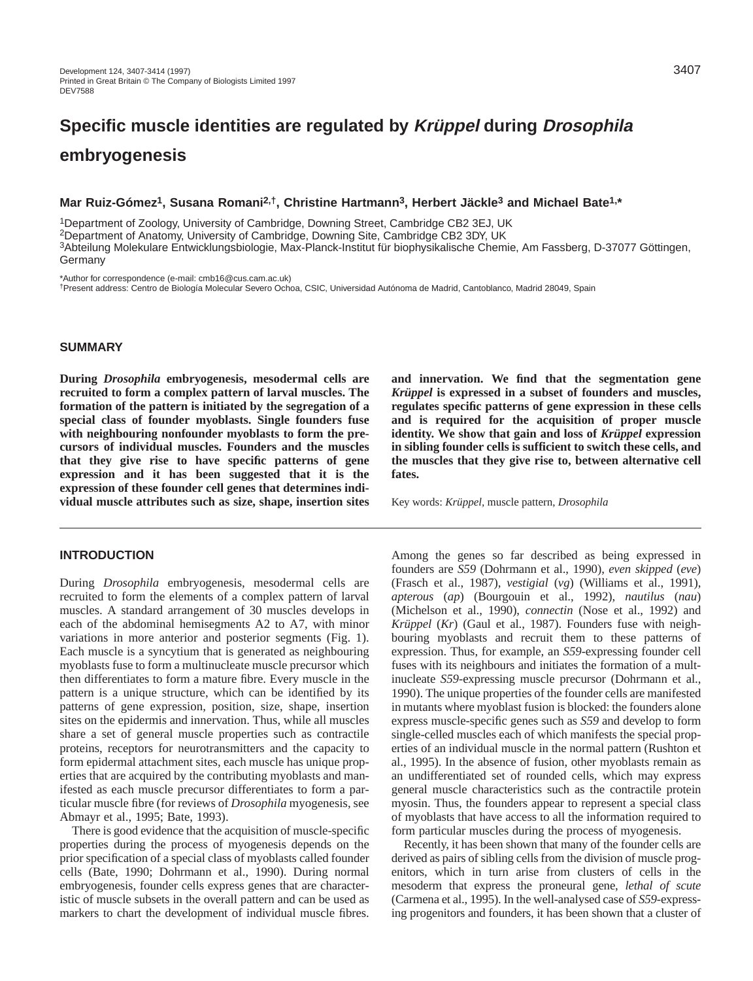# **Specific muscle identities are regulated by Krüppel during Drosophila embryogenesis**

## **Mar Ruiz-Gómez1, Susana Romani2,†, Christine Hartmann3, Herbert Jäckle3 and Michael Bate1,\***

1Department of Zoology, University of Cambridge, Downing Street, Cambridge CB2 3EJ, UK 2Department of Anatomy, University of Cambridge, Downing Site, Cambridge CB2 3DY, UK 3Abteilung Molekulare Entwicklungsbiologie, Max-Planck-Institut für biophysikalische Chemie, Am Fassberg, D-37077 Göttingen, Germany

\*Author for correspondence (e-mail: cmb16@cus.cam.ac.uk)

†Present address: Centro de Biología Molecular Severo Ochoa, CSIC, Universidad Autónoma de Madrid, Cantoblanco, Madrid 28049, Spain

## **SUMMARY**

**During** *Drosophila* **embryogenesis, mesodermal cells are recruited to form a complex pattern of larval muscles. The formation of the pattern is initiated by the segregation of a special class of founder myoblasts. Single founders fuse with neighbouring nonfounder myoblasts to form the precursors of individual muscles. Founders and the muscles that they give rise to have specific patterns of gene expression and it has been suggested that it is the expression of these founder cell genes that determines individual muscle attributes such as size, shape, insertion sites**

#### **INTRODUCTION**

During *Drosophila* embryogenesis, mesodermal cells are recruited to form the elements of a complex pattern of larval muscles. A standard arrangement of 30 muscles develops in each of the abdominal hemisegments A2 to A7, with minor variations in more anterior and posterior segments (Fig. 1). Each muscle is a syncytium that is generated as neighbouring myoblasts fuse to form a multinucleate muscle precursor which then differentiates to form a mature fibre. Every muscle in the pattern is a unique structure, which can be identified by its patterns of gene expression, position, size, shape, insertion sites on the epidermis and innervation. Thus, while all muscles share a set of general muscle properties such as contractile proteins, receptors for neurotransmitters and the capacity to form epidermal attachment sites, each muscle has unique properties that are acquired by the contributing myoblasts and manifested as each muscle precursor differentiates to form a particular muscle fibre (for reviews of *Drosophila* myogenesis, see Abmayr et al., 1995; Bate, 1993).

There is good evidence that the acquisition of muscle-specific properties during the process of myogenesis depends on the prior specification of a special class of myoblasts called founder cells (Bate, 1990; Dohrmann et al., 1990). During normal embryogenesis, founder cells express genes that are characteristic of muscle subsets in the overall pattern and can be used as markers to chart the development of individual muscle fibres.

**and innervation. We find that the segmentation gene** *Krüppel* **is expressed in a subset of founders and muscles, regulates specific patterns of gene expression in these cells and is required for the acquisition of proper muscle identity. We show that gain and loss of** *Krüppel* **expression in sibling founder cells is sufficient to switch these cells, and the muscles that they give rise to, between alternative cell fates.**

Key words: *Krüppel,* muscle pattern, *Drosophila*

Among the genes so far described as being expressed in founders are *S59* (Dohrmann et al., 1990), *even skipped* (*eve*) (Frasch et al., 1987), *vestigial* (*vg*) (Williams et al., 1991), *apterous* (*ap*) (Bourgouin et al., 1992), *nautilus* (*nau*) (Michelson et al., 1990), *connectin* (Nose et al., 1992) and *Krüppel* (*Kr*) (Gaul et al., 1987). Founders fuse with neighbouring myoblasts and recruit them to these patterns of expression. Thus, for example, an *S59*-expressing founder cell fuses with its neighbours and initiates the formation of a multinucleate *S59*-expressing muscle precursor (Dohrmann et al., 1990). The unique properties of the founder cells are manifested in mutants where myoblast fusion is blocked: the founders alone express muscle-specific genes such as *S59* and develop to form single-celled muscles each of which manifests the special properties of an individual muscle in the normal pattern (Rushton et al., 1995). In the absence of fusion, other myoblasts remain as an undifferentiated set of rounded cells, which may express general muscle characteristics such as the contractile protein myosin. Thus, the founders appear to represent a special class of myoblasts that have access to all the information required to form particular muscles during the process of myogenesis.

Recently, it has been shown that many of the founder cells are derived as pairs of sibling cells from the division of muscle progenitors, which in turn arise from clusters of cells in the mesoderm that express the proneural gene, *lethal of scute* (Carmena et al., 1995). In the well-analysed case of *S59*-expressing progenitors and founders, it has been shown that a cluster of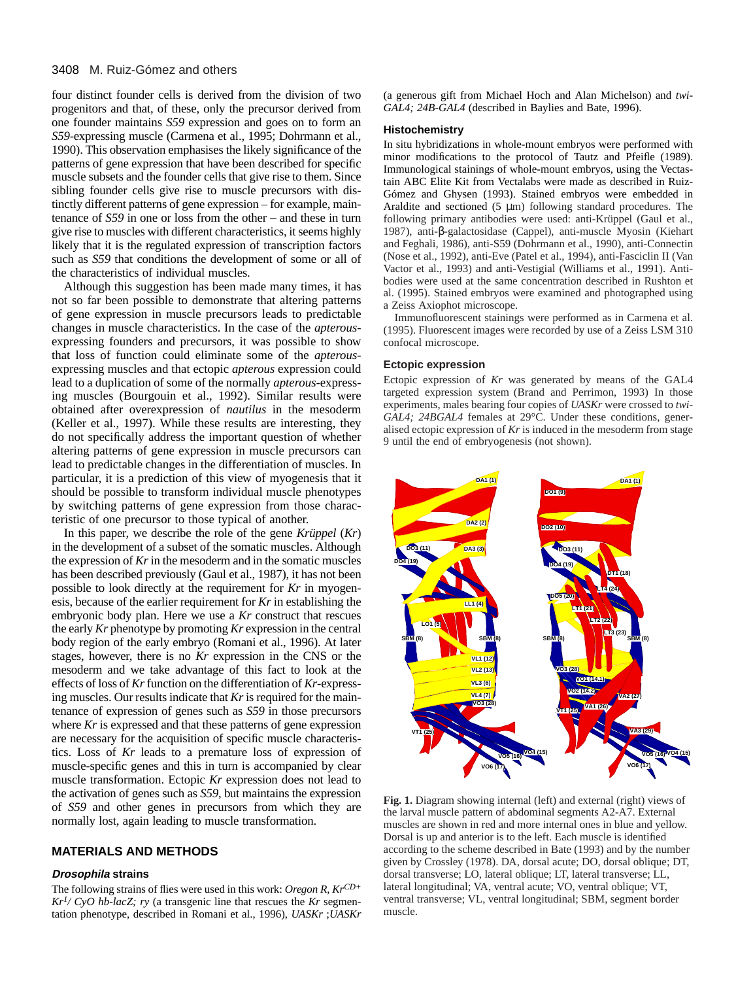#### 3408 M. Ruiz-Gómez and others

four distinct founder cells is derived from the division of two progenitors and that, of these, only the precursor derived from one founder maintains *S59* expression and goes on to form an *S59*-expressing muscle (Carmena et al., 1995; Dohrmann et al., 1990). This observation emphasises the likely significance of the patterns of gene expression that have been described for specific muscle subsets and the founder cells that give rise to them. Since sibling founder cells give rise to muscle precursors with distinctly different patterns of gene expression – for example, maintenance of *S59* in one or loss from the other – and these in turn give rise to muscles with different characteristics, it seems highly likely that it is the regulated expression of transcription factors such as *S59* that conditions the development of some or all of the characteristics of individual muscles.

Although this suggestion has been made many times, it has not so far been possible to demonstrate that altering patterns of gene expression in muscle precursors leads to predictable changes in muscle characteristics. In the case of the *apterous*expressing founders and precursors, it was possible to show that loss of function could eliminate some of the *apterous*expressing muscles and that ectopic *apterous* expression could lead to a duplication of some of the normally *apterous*-expressing muscles (Bourgouin et al., 1992). Similar results were obtained after overexpression of *nautilus* in the mesoderm (Keller et al., 1997). While these results are interesting, they do not specifically address the important question of whether altering patterns of gene expression in muscle precursors can lead to predictable changes in the differentiation of muscles. In particular, it is a prediction of this view of myogenesis that it should be possible to transform individual muscle phenotypes by switching patterns of gene expression from those characteristic of one precursor to those typical of another.

In this paper, we describe the role of the gene *Krüppel* (*Kr*) in the development of a subset of the somatic muscles. Although the expression of *Kr*in the mesoderm and in the somatic muscles has been described previously (Gaul et al., 1987), it has not been possible to look directly at the requirement for *Kr* in myogenesis, because of the earlier requirement for *Kr* in establishing the embryonic body plan. Here we use a *Kr* construct that rescues the early *Kr* phenotype by promoting *Kr* expression in the central body region of the early embryo (Romani et al., 1996). At later stages, however, there is no *Kr* expression in the CNS or the mesoderm and we take advantage of this fact to look at the effects of loss of *Kr*function on the differentiation of *Kr*-expressing muscles. Our results indicate that *Kr*is required for the maintenance of expression of genes such as *S59* in those precursors where *Kr* is expressed and that these patterns of gene expression are necessary for the acquisition of specific muscle characteristics. Loss of *Kr* leads to a premature loss of expression of muscle-specific genes and this in turn is accompanied by clear muscle transformation. Ectopic *Kr* expression does not lead to the activation of genes such as *S59*, but maintains the expression of *S59* and other genes in precursors from which they are normally lost, again leading to muscle transformation.

#### **MATERIALS AND METHODS**

#### **Drosophila strains**

The following strains of flies were used in this work: *Oregon R*, *KrCD+*  $Kr<sup>1</sup>/CyO$  *hb-lacZ; ry* (a transgenic line that rescues the *Kr* segmentation phenotype, described in Romani et al., 1996), *UASKr* ;*UASKr* (a generous gift from Michael Hoch and Alan Michelson) and *twi-GAL4; 24B-GAL4* (described in Baylies and Bate, 1996).

#### **Histochemistry**

In situ hybridizations in whole-mount embryos were performed with minor modifications to the protocol of Tautz and Pfeifle (1989). Immunological stainings of whole-mount embryos, using the Vectastain ABC Elite Kit from Vectalabs were made as described in Ruiz-Gómez and Ghysen (1993). Stained embryos were embedded in Araldite and sectioned (5 µm) following standard procedures. The following primary antibodies were used: anti-Krüppel (Gaul et al., 1987), anti-β-galactosidase (Cappel), anti-muscle Myosin (Kiehart and Feghali, 1986), anti-S59 (Dohrmann et al., 1990), anti-Connectin (Nose et al., 1992), anti-Eve (Patel et al., 1994), anti-Fasciclin II (Van Vactor et al., 1993) and anti-Vestigial (Williams et al., 1991). Antibodies were used at the same concentration described in Rushton et al. (1995). Stained embryos were examined and photographed using a Zeiss Axiophot microscope.

Immunofluorescent stainings were performed as in Carmena et al. (1995). Fluorescent images were recorded by use of a Zeiss LSM 310 confocal microscope.

#### **Ectopic expression**

Ectopic expression of *Kr* was generated by means of the GAL4 targeted expression system (Brand and Perrimon, 1993) In those experiments, males bearing four copies of *UASKr* were crossed to *twi-GAL4*; 24BGAL4 females at 29°C. Under these conditions, generalised ectopic expression of *Kr* is induced in the mesoderm from stage 9 until the end of embryogenesis (not shown).



**Fig. 1.** Diagram showing internal (left) and external (right) views of the larval muscle pattern of abdominal segments A2-A7. External muscles are shown in red and more internal ones in blue and yellow. Dorsal is up and anterior is to the left. Each muscle is identified according to the scheme described in Bate (1993) and by the number given by Crossley (1978). DA, dorsal acute; DO, dorsal oblique; DT, dorsal transverse; LO, lateral oblique; LT, lateral transverse; LL, lateral longitudinal; VA, ventral acute; VO, ventral oblique; VT, ventral transverse; VL, ventral longitudinal; SBM, segment border muscle.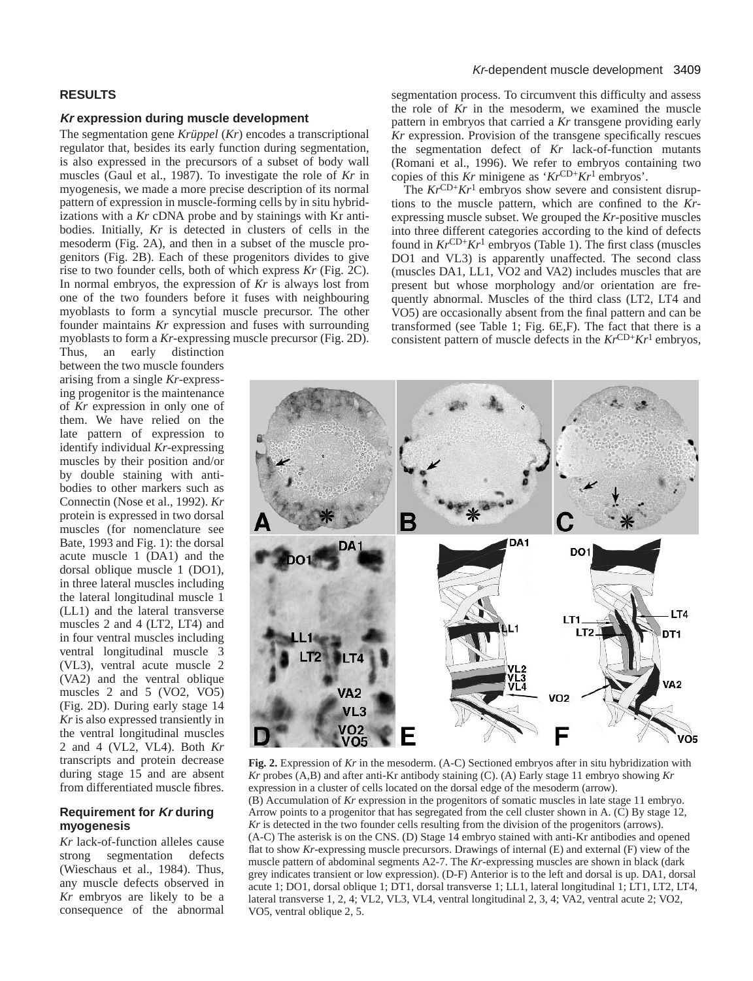#### **RESULTS**

#### **Kr expression during muscle development**

The segmentation gene *Krüppel* (*Kr*) encodes a transcriptional regulator that, besides its early function during segmentation, is also expressed in the precursors of a subset of body wall muscles (Gaul et al., 1987). To investigate the role of *Kr* in myogenesis, we made a more precise description of its normal pattern of expression in muscle-forming cells by in situ hybridizations with a *Kr* cDNA probe and by stainings with Kr antibodies. Initially, *Kr* is detected in clusters of cells in the mesoderm (Fig. 2A), and then in a subset of the muscle progenitors (Fig. 2B). Each of these progenitors divides to give rise to two founder cells, both of which express *Kr* (Fig. 2C). In normal embryos, the expression of *Kr* is always lost from one of the two founders before it fuses with neighbouring myoblasts to form a syncytial muscle precursor. The other founder maintains *Kr* expression and fuses with surrounding myoblasts to form a *Kr*-expressing muscle precursor (Fig. 2D).

Thus, an early distinction between the two muscle founders arising from a single *Kr*-expressing progenitor is the maintenance of *Kr* expression in only one of them. We have relied on the late pattern of expression to identify individual *Kr*-expressing muscles by their position and/or by double staining with antibodies to other markers such as Connectin (Nose et al., 1992). *Kr* protein is expressed in two dorsal muscles (for nomenclature see Bate, 1993 and Fig. 1): the dorsal acute muscle 1 (DA1) and the dorsal oblique muscle 1 (DO1), in three lateral muscles including the lateral longitudinal muscle 1 (LL1) and the lateral transverse muscles 2 and 4 (LT2, LT4) and in four ventral muscles including ventral longitudinal muscle 3 (VL3), ventral acute muscle 2 (VA2) and the ventral oblique muscles 2 and 5 (VO2, VO5) (Fig. 2D). During early stage 14 *Kr* is also expressed transiently in the ventral longitudinal muscles 2 and 4 (VL2, VL4). Both *Kr* transcripts and protein decrease during stage 15 and are absent from differentiated muscle fibres.

#### **Requirement for Kr during myogenesis**

*Kr* lack-of-function alleles cause strong segmentation defects (Wieschaus et al., 1984). Thus, any muscle defects observed in *Kr* embryos are likely to be a consequence of the abnormal

## Kr-dependent muscle development 3409

segmentation process. To circumvent this difficulty and assess the role of *Kr* in the mesoderm, we examined the muscle pattern in embryos that carried a *Kr* transgene providing early *Kr* expression. Provision of the transgene specifically rescues the segmentation defect of *Kr* lack-of-function mutants (Romani et al., 1996). We refer to embryos containing two copies of this *Kr* minigene as '*Kr*CD+*Kr*1 embryos'.

The  $Kr^{\text{CD+}}Kr^1$  embryos show severe and consistent disruptions to the muscle pattern, which are confined to the *Kr*expressing muscle subset. We grouped the *Kr*-positive muscles into three different categories according to the kind of defects found in  $Kr^{\text{CD+}}Kr^1$  embryos (Table 1). The first class (muscles DO1 and VL3) is apparently unaffected. The second class (muscles DA1, LL1, VO2 and VA2) includes muscles that are present but whose morphology and/or orientation are frequently abnormal. Muscles of the third class (LT2, LT4 and VO5) are occasionally absent from the final pattern and can be transformed (see Table 1; Fig. 6E,F). The fact that there is a consistent pattern of muscle defects in the  $Kr^{\text{CD+}}Kr^1$  embryos,



**Fig. 2.** Expression of *Kr* in the mesoderm. (A-C) Sectioned embryos after in situ hybridization with *Kr* probes (A,B) and after anti-Kr antibody staining (C). (A) Early stage 11 embryo showing *Kr* expression in a cluster of cells located on the dorsal edge of the mesoderm (arrow). (B) Accumulation of *Kr* expression in the progenitors of somatic muscles in late stage 11 embryo. Arrow points to a progenitor that has segregated from the cell cluster shown in A. (C) By stage 12, *Kr* is detected in the two founder cells resulting from the division of the progenitors (arrows). (A-C) The asterisk is on the CNS. (D) Stage 14 embryo stained with anti-Kr antibodies and opened flat to show *Kr*-expressing muscle precursors. Drawings of internal (E) and external (F) view of the muscle pattern of abdominal segments A2-7. The *Kr*-expressing muscles are shown in black (dark grey indicates transient or low expression). (D-F) Anterior is to the left and dorsal is up. DA1, dorsal acute 1; DO1, dorsal oblique 1; DT1, dorsal transverse 1; LL1, lateral longitudinal 1; LT1, LT2, LT4, lateral transverse 1, 2, 4; VL2, VL3, VL4, ventral longitudinal 2, 3, 4; VA2, ventral acute 2; VO2, VO5, ventral oblique 2, 5.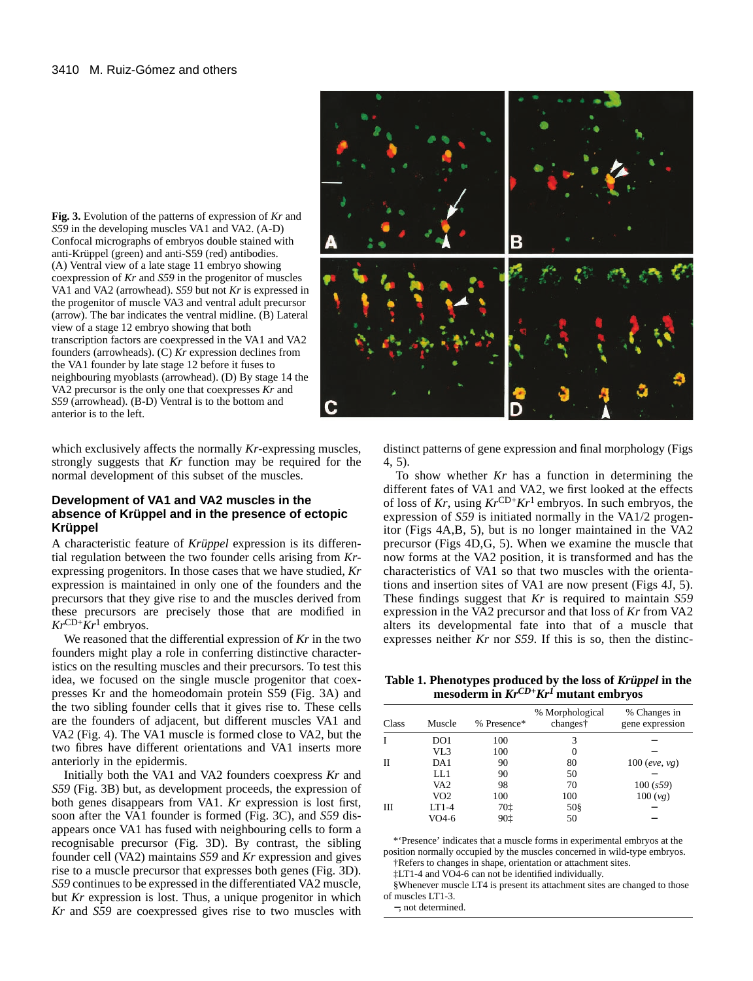**Fig. 3.** Evolution of the patterns of expression of *Kr* and *S59* in the developing muscles VA1 and VA2. (A-D) Confocal micrographs of embryos double stained with anti-Krüppel (green) and anti-S59 (red) antibodies. (A) Ventral view of a late stage 11 embryo showing coexpression of *Kr* and *S59* in the progenitor of muscles VA1 and VA2 (arrowhead). *S59* but not *Kr* is expressed in the progenitor of muscle VA3 and ventral adult precursor (arrow). The bar indicates the ventral midline. (B) Lateral view of a stage 12 embryo showing that both transcription factors are coexpressed in the VA1 and VA2 founders (arrowheads). (C) *Kr* expression declines from the VA1 founder by late stage 12 before it fuses to neighbouring myoblasts (arrowhead). (D) By stage 14 the VA2 precursor is the only one that coexpresses *Kr* and *S59* (arrowhead). (B-D) Ventral is to the bottom and anterior is to the left.

which exclusively affects the normally *Kr*-expressing muscles, strongly suggests that *Kr* function may be required for the normal development of this subset of the muscles.

#### **Development of VA1 and VA2 muscles in the absence of Krüppel and in the presence of ectopic Krüppel**

A characteristic feature of *Krüppel* expression is its differential regulation between the two founder cells arising from *Kr*expressing progenitors. In those cases that we have studied, *Kr* expression is maintained in only one of the founders and the precursors that they give rise to and the muscles derived from these precursors are precisely those that are modified in  $Kr^{\text{CD}+}\tilde{K}r^1$  embryos.

We reasoned that the differential expression of *Kr* in the two founders might play a role in conferring distinctive characteristics on the resulting muscles and their precursors. To test this idea, we focused on the single muscle progenitor that coexpresses Kr and the homeodomain protein S59 (Fig. 3A) and the two sibling founder cells that it gives rise to. These cells are the founders of adjacent, but different muscles VA1 and VA2 (Fig. 4). The VA1 muscle is formed close to VA2, but the two fibres have different orientations and VA1 inserts more anteriorly in the epidermis.

Initially both the VA1 and VA2 founders coexpress *Kr* and *S59* (Fig. 3B) but, as development proceeds, the expression of both genes disappears from VA1. *Kr* expression is lost first, soon after the VA1 founder is formed (Fig. 3C), and *S59* disappears once VA1 has fused with neighbouring cells to form a recognisable precursor (Fig. 3D). By contrast, the sibling founder cell (VA2) maintains *S59* and *Kr* expression and gives rise to a muscle precursor that expresses both genes (Fig. 3D). *S59* continues to be expressed in the differentiated VA2 muscle, but *Kr* expression is lost. Thus, a unique progenitor in which *Kr* and *S59* are coexpressed gives rise to two muscles with



distinct patterns of gene expression and final morphology (Figs 4, 5).

To show whether *Kr* has a function in determining the different fates of VA1 and VA2, we first looked at the effects of loss of *Kr*, using *Kr*CD+*Kr*1 embryos. In such embryos, the expression of *S59* is initiated normally in the VA1/2 progenitor (Figs 4A,B, 5), but is no longer maintained in the VA2 precursor (Figs 4D,G, 5). When we examine the muscle that now forms at the VA2 position, it is transformed and has the characteristics of VA1 so that two muscles with the orientations and insertion sites of VA1 are now present (Figs 4J, 5). These findings suggest that *Kr* is required to maintain *S59* expression in the VA2 precursor and that loss of *Kr* from VA2 alters its developmental fate into that of a muscle that expresses neither *Kr* nor *S59*. If this is so, then the distinc-

**Table 1. Phenotypes produced by the loss of** *Krüppel* **in the mesoderm in** *KrCD+Kr1* **mutant embryos**

| Class | Muscle          | % Presence* | % Morphological<br>changes† | % Changes in<br>gene expression |
|-------|-----------------|-------------|-----------------------------|---------------------------------|
|       | DO1             | 100         | 3                           |                                 |
|       | VL3             | 100         | 0                           |                                 |
| П     | DA1             | 90          | 80                          | 100 (eve, vg)                   |
|       | LL1             | 90          | 50                          |                                 |
|       | VA <sub>2</sub> | 98          | 70                          | 100(s59)                        |
|       | VO2             | 100         | 100                         | 100(yg)                         |
| Ш     | $LT1-4$         | 70‡         | 50§                         |                                 |
|       | $VO4-6$         | 90‡         | 50                          |                                 |

\*'Presence' indicates that a muscle forms in experimental embryos at the position normally occupied by the muscles concerned in wild-type embryos.

†Refers to changes in shape, orientation or attachment sites. ‡LT1-4 and VO4-6 can not be identified individually.

§Whenever muscle LT4 is present its attachment sites are changed to those of muscles LT1-3.

−, not determined.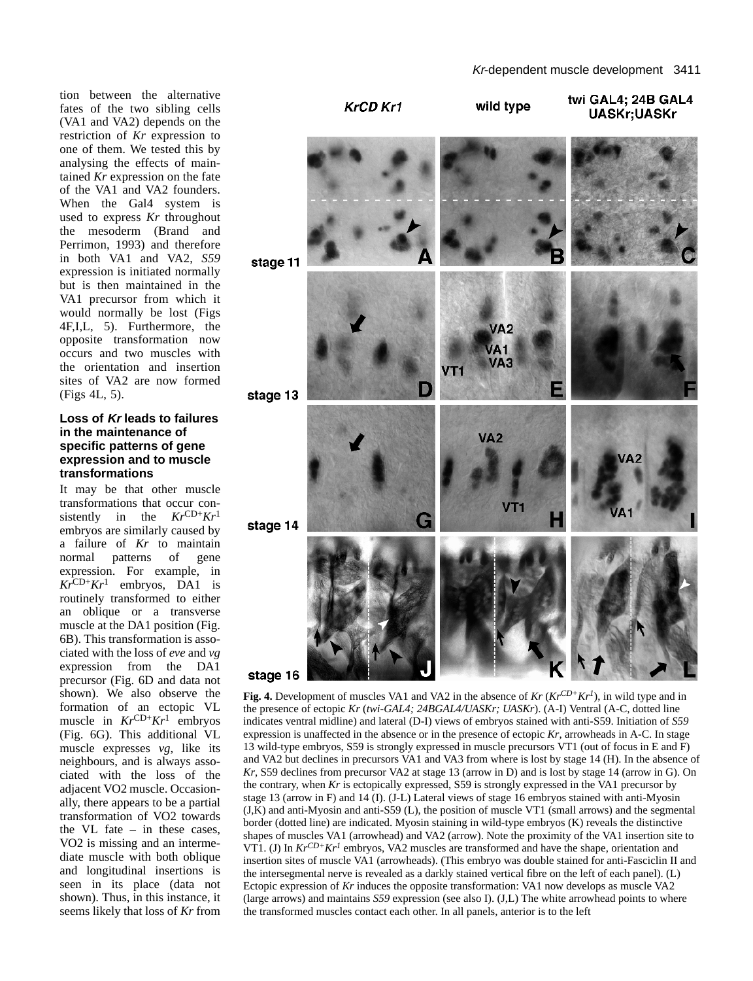tion between the alternative fates of the two sibling cells (VA1 and VA2) depends on the restriction of *Kr* expression to one of them. We tested this by analysing the effects of maintained *Kr* expression on the fate of the VA1 and VA2 founders. When the Gal4 system is used to express *Kr* throughout the mesoderm (Brand and Perrimon, 1993) and therefore in both VA1 and VA2, *S59* expression is initiated normally but is then maintained in the VA1 precursor from which it would normally be lost (Figs 4F,I,L, 5). Furthermore, the opposite transformation now occurs and two muscles with the orientation and insertion sites of VA2 are now formed (Figs 4L, 5).

#### **Loss of Kr leads to failures in the maintenance of specific patterns of gene expression and to muscle transformations**

It may be that other muscle transformations that occur consistently in the *Kr*CD+*Kr*<sup>1</sup> embryos are similarly caused by a failure of *Kr* to maintain normal patterns of gene expression. For example, in  $Kr^{\text{CD+}}Kr^1$  embryos, DA1 is routinely transformed to either an oblique or a transverse muscle at the DA1 position (Fig. 6B). This transformation is associated with the loss of *eve* and *vg* expression from the DA1 precursor (Fig. 6D and data not shown). We also observe the formation of an ectopic VL muscle in  $Kr^{\text{CD}+}Kr^1$  embryos (Fig. 6G). This additional VL muscle expresses *vg*, like its neighbours, and is always associated with the loss of the adjacent VO2 muscle. Occasionally, there appears to be a partial transformation of VO2 towards the VL fate – in these cases, VO2 is missing and an intermediate muscle with both oblique and longitudinal insertions is seen in its place (data not shown). Thus, in this instance, it seems likely that loss of *Kr* from



**Fig. 4.** Development of muscles VA1 and VA2 in the absence of  $Kr(Kr^{CD+}Kr^{1})$ , in wild type and in the presence of ectopic *Kr* (*twi-GAL4; 24BGAL4/UASKr; UASKr*). (A-I) Ventral (A-C, dotted line indicates ventral midline) and lateral (D-I) views of embryos stained with anti-S59. Initiation of *S59* expression is unaffected in the absence or in the presence of ectopic *Kr*, arrowheads in A-C. In stage 13 wild-type embryos, S59 is strongly expressed in muscle precursors VT1 (out of focus in E and F) and VA2 but declines in precursors VA1 and VA3 from where is lost by stage 14 (H). In the absence of *Kr*, S59 declines from precursor VA2 at stage 13 (arrow in D) and is lost by stage 14 (arrow in G). On the contrary, when *Kr* is ectopically expressed, S59 is strongly expressed in the VA1 precursor by stage 13 (arrow in F) and 14 (I). (J-L) Lateral views of stage 16 embryos stained with anti-Myosin (J,K) and anti-Myosin and anti-S59 (L), the position of muscle VT1 (small arrows) and the segmental border (dotted line) are indicated. Myosin staining in wild-type embryos (K) reveals the distinctive shapes of muscles VA1 (arrowhead) and VA2 (arrow). Note the proximity of the VA1 insertion site to VT1. (J) In  $Kr^{CD+}Kr^{I}$  embryos, VA2 muscles are transformed and have the shape, orientation and insertion sites of muscle VA1 (arrowheads). (This embryo was double stained for anti-Fasciclin II and the intersegmental nerve is revealed as a darkly stained vertical fibre on the left of each panel). (L) Ectopic expression of *Kr* induces the opposite transformation: VA1 now develops as muscle VA2 (large arrows) and maintains *S59* expression (see also I). (J,L) The white arrowhead points to where the transformed muscles contact each other. In all panels, anterior is to the left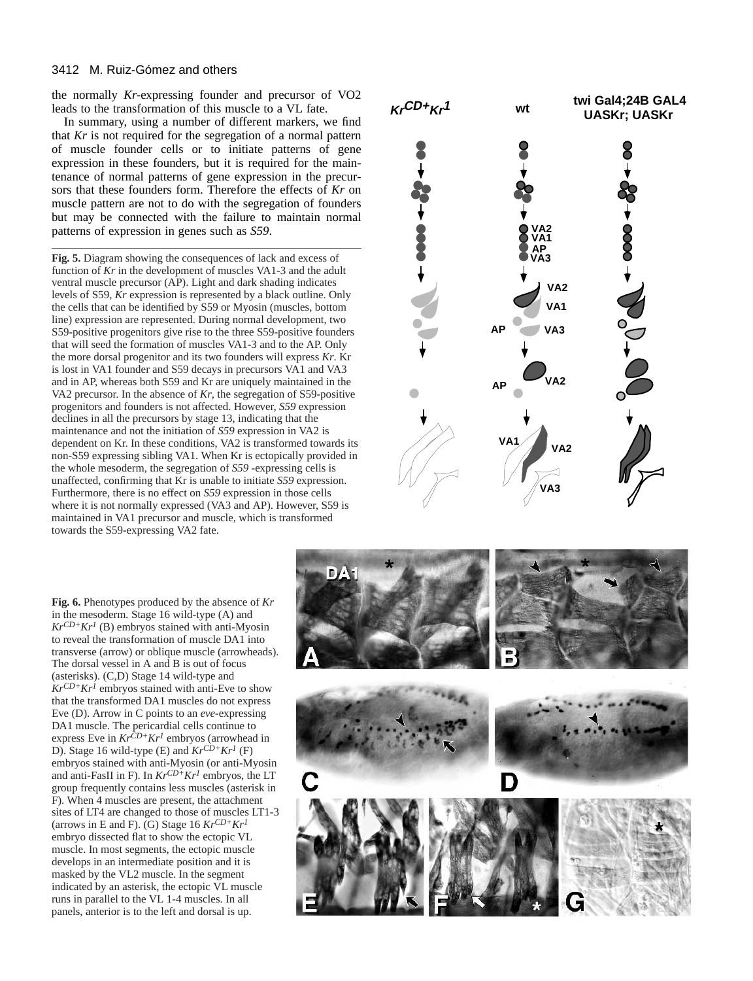#### 3412 M. Ruiz-Gómez and others

the normally *Kr-*expressing founder and precursor of VO2 leads to the transformation of this muscle to a VL fate.

In summary, using a number of different markers, we find that *Kr* is not required for the segregation of a normal pattern of muscle founder cells or to initiate patterns of gene expression in these founders, but it is required for the maintenance of normal patterns of gene expression in the precursors that these founders form. Therefore the effects of *Kr* on muscle pattern are not to do with the segregation of founders but may be connected with the failure to maintain normal patterns of expression in genes such as *S59*.

**Fig. 5.** Diagram showing the consequences of lack and excess of function of *Kr* in the development of muscles VA1-3 and the adult ventral muscle precursor (AP). Light and dark shading indicates levels of S59, *Kr* expression is represented by a black outline. Only the cells that can be identified by S59 or Myosin (muscles, bottom line) expression are represented. During normal development, two S59-positive progenitors give rise to the three S59-positive founders that will seed the formation of muscles VA1-3 and to the AP. Only the more dorsal progenitor and its two founders will express *Kr*. Kr is lost in VA1 founder and S59 decays in precursors VA1 and VA3 and in AP, whereas both S59 and Kr are uniquely maintained in the VA2 precursor. In the absence of *Kr*, the segregation of S59-positive progenitors and founders is not affected. However, *S59* expression declines in all the precursors by stage 13, indicating that the maintenance and not the initiation of *S59* expression in VA2 is dependent on Kr. In these conditions, VA2 is transformed towards its non-S59 expressing sibling VA1. When Kr is ectopically provided in the whole mesoderm, the segregation of *S59* -expressing cells is unaffected, confirming that Kr is unable to initiate *S59* expression. Furthermore, there is no effect on *S59* expression in those cells where it is not normally expressed (VA3 and AP). However, S59 is maintained in VA1 precursor and muscle, which is transformed towards the S59-expressing VA2 fate.

**KrCD+Kr1 wt twi Gal4;24B GAL4 UASKr; UASKr**  $\rightarrow$  000 **VA2 VA1 AP VA3 VA2 VA1 AP VA3 VA2 VA2 VA1 VA3**

**Fig. 6.** Phenotypes produced by the absence of *Kr* in the mesoderm*.* Stage 16 wild-type (A) and  $Kr^{CD+}Kr^{1}$  (B) embryos stained with anti-Myosin to reveal the transformation of muscle DA1 into transverse (arrow) or oblique muscle (arrowheads). The dorsal vessel in A and B is out of focus (asterisks). (C,D) Stage 14 wild-type and  $Kr^{CD+}Kr^{1}$  embryos stained with anti-Eve to show that the transformed DA1 muscles do not express Eve (D). Arrow in C points to an *eve-*expressing DA1 muscle. The pericardial cells continue to express Eve in *KrCD+Kr1* embryos (arrowhead in D). Stage 16 wild-type (E) and *KrCD+Kr1* (F) embryos stained with anti-Myosin (or anti-Myosin and anti-FasII in F). In *KrCD+Kr1* embryos, the LT group frequently contains less muscles (asterisk in F). When 4 muscles are present, the attachment sites of LT4 are changed to those of muscles LT1-3 (arrows in E and F). (G) Stage 16 *KrCD+Kr1* embryo dissected flat to show the ectopic VL muscle. In most segments, the ectopic muscle develops in an intermediate position and it is masked by the VL2 muscle. In the segment indicated by an asterisk, the ectopic VL muscle runs in parallel to the VL 1-4 muscles. In all panels, anterior is to the left and dorsal is up.

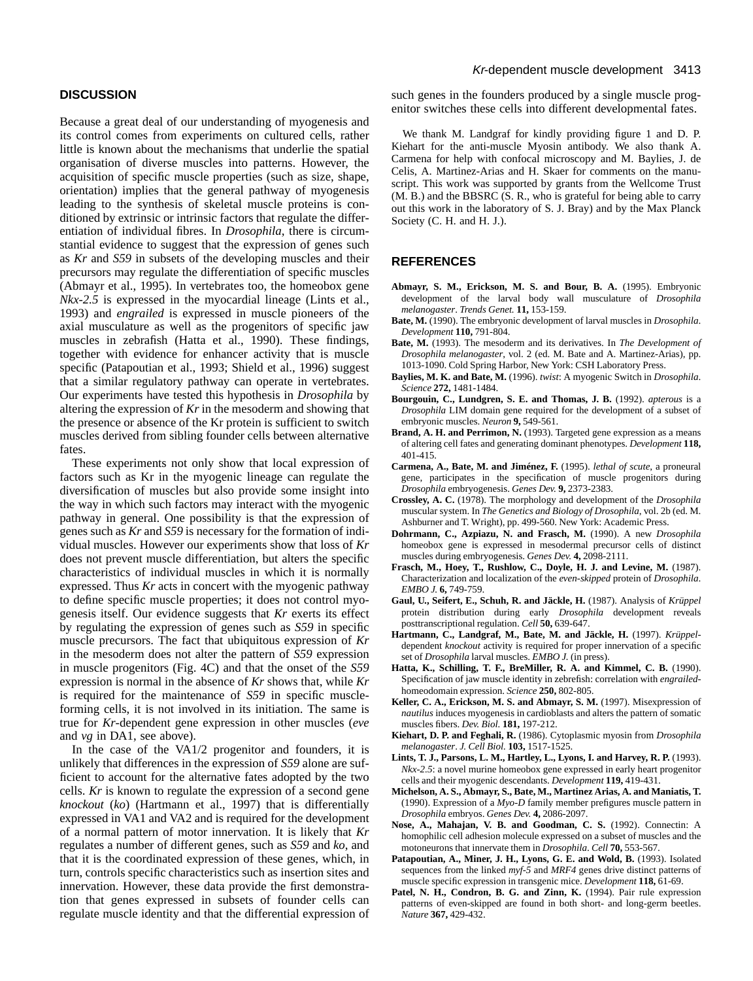## **DISCUSSION**

Because a great deal of our understanding of myogenesis and its control comes from experiments on cultured cells, rather little is known about the mechanisms that underlie the spatial organisation of diverse muscles into patterns. However, the acquisition of specific muscle properties (such as size, shape, orientation) implies that the general pathway of myogenesis leading to the synthesis of skeletal muscle proteins is conditioned by extrinsic or intrinsic factors that regulate the differentiation of individual fibres. In *Drosophila*, there is circumstantial evidence to suggest that the expression of genes such as *Kr* and *S59* in subsets of the developing muscles and their precursors may regulate the differentiation of specific muscles (Abmayr et al., 1995). In vertebrates too, the homeobox gene *Nkx-2.5* is expressed in the myocardial lineage (Lints et al., 1993) and *engrailed* is expressed in muscle pioneers of the axial musculature as well as the progenitors of specific jaw muscles in zebrafish (Hatta et al., 1990). These findings, together with evidence for enhancer activity that is muscle specific (Patapoutian et al., 1993; Shield et al., 1996) suggest that a similar regulatory pathway can operate in vertebrates. Our experiments have tested this hypothesis in *Drosophila* by altering the expression of *Kr* in the mesoderm and showing that the presence or absence of the Kr protein is sufficient to switch muscles derived from sibling founder cells between alternative fates.

These experiments not only show that local expression of factors such as Kr in the myogenic lineage can regulate the diversification of muscles but also provide some insight into the way in which such factors may interact with the myogenic pathway in general. One possibility is that the expression of genes such as *Kr* and *S59* is necessary for the formation of individual muscles. However our experiments show that loss of *Kr* does not prevent muscle differentiation, but alters the specific characteristics of individual muscles in which it is normally expressed. Thus *Kr* acts in concert with the myogenic pathway to define specific muscle properties; it does not control myogenesis itself. Our evidence suggests that *Kr* exerts its effect by regulating the expression of genes such as *S59* in specific muscle precursors. The fact that ubiquitous expression of *Kr* in the mesoderm does not alter the pattern of *S59* expression in muscle progenitors (Fig. 4C) and that the onset of the *S59* expression is normal in the absence of *Kr* shows that, while *Kr* is required for the maintenance of *S59* in specific muscleforming cells, it is not involved in its initiation. The same is true for *Kr*-dependent gene expression in other muscles (*eve* and *vg* in DA1, see above).

In the case of the VA1/2 progenitor and founders, it is unlikely that differences in the expression of *S59* alone are sufficient to account for the alternative fates adopted by the two cells. *Kr* is known to regulate the expression of a second gene *knockout* (*ko*) (Hartmann et al., 1997) that is differentially expressed in VA1 and VA2 and is required for the development of a normal pattern of motor innervation. It is likely that *Kr* regulates a number of different genes, such as *S59* and *ko*, and that it is the coordinated expression of these genes, which, in turn, controls specific characteristics such as insertion sites and innervation. However, these data provide the first demonstration that genes expressed in subsets of founder cells can regulate muscle identity and that the differential expression of such genes in the founders produced by a single muscle progenitor switches these cells into different developmental fates.

We thank M. Landgraf for kindly providing figure 1 and D. P. Kiehart for the anti-muscle Myosin antibody. We also thank A. Carmena for help with confocal microscopy and M. Baylies, J. de Celis, A. Martinez-Arias and H. Skaer for comments on the manuscript. This work was supported by grants from the Wellcome Trust (M. B.) and the BBSRC (S. R., who is grateful for being able to carry out this work in the laboratory of S. J. Bray) and by the Max Planck Society (C. H. and H. J.).

#### **REFERENCES**

- **Abmayr, S. M., Erickson, M. S. and Bour, B. A.** (1995). Embryonic development of the larval body wall musculature of *Drosophila melanogaster*. *Trends Genet.* **11,** 153-159.
- **Bate, M.** (1990). The embryonic development of larval muscles in *Drosophila*. *Development* **110,** 791-804.
- **Bate, M.** (1993). The mesoderm and its derivatives. In *The Development of Drosophila melanogaster*, vol. 2 (ed. M. Bate and A. Martinez-Arias), pp. 1013-1090. Cold Spring Harbor, New York: CSH Laboratory Press.
- **Baylies, M. K. and Bate, M.** (1996). *twist*: A myogenic Switch in *Drosophila*. *Science* **272,** 1481-1484.
- **Bourgouin, C., Lundgren, S. E. and Thomas, J. B.** (1992). *apterous* is a *Drosophila* LIM domain gene required for the development of a subset of embryonic muscles. *Neuron* **9,** 549-561.
- **Brand, A. H. and Perrimon, N.** (1993). Targeted gene expression as a means of altering cell fates and generating dominant phenotypes. *Development* **118,** 401-415.
- **Carmena, A., Bate, M. and Jiménez, F.** (1995). *lethal of scute*, a proneural gene, participates in the specification of muscle progenitors during *Drosophila* embryogenesis. *Genes Dev.* **9,** 2373-2383.
- **Crossley, A. C.** (1978). The morphology and development of the *Drosophila* muscular system. In *The Genetics and Biology of Drosophila*, vol. 2b (ed. M. Ashburner and T. Wright), pp. 499-560. New York: Academic Press.
- **Dohrmann, C., Azpiazu, N. and Frasch, M.** (1990). A new *Drosophila* homeobox gene is expressed in mesodermal precursor cells of distinct muscles during embryogenesis. *Genes Dev.* **4,** 2098-2111.
- **Frasch, M., Hoey, T., Rushlow, C., Doyle, H. J. and Levine, M.** (1987). Characterization and localization of the *even-skipped* protein of *Drosophila*. *EMBO J.* **6,** 749-759.
- **Gaul, U., Seifert, E., Schuh, R. and Jäckle, H.** (1987). Analysis of *Krüppel* protein distribution during early *Drosophila* development reveals posttranscriptional regulation. *Cell* **50,** 639-647.
- **Hartmann, C., Landgraf, M., Bate, M. and Jäckle, H.** (1997). *Krüppel*dependent *knockout* activity is required for proper innervation of a specific set of *Drosophila* larval muscles. *EMBO J.* (in press).
- **Hatta, K., Schilling, T. F., BreMiller, R. A. and Kimmel, C. B.** (1990). Specification of jaw muscle identity in zebrefish: correlation with *engrailed*homeodomain expression. *Science* **250,** 802-805.
- **Keller, C. A., Erickson, M. S. and Abmayr, S. M.** (1997). Misexpression of *nautilus* induces myogenesis in cardioblasts and alters the pattern of somatic muscles fibers. *Dev. Biol.* **181,** 197-212.
- **Kiehart, D. P. and Feghali, R.** (1986). Cytoplasmic myosin from *Drosophila melanogaster*. *J. Cell Biol.* **103,** 1517-1525.
- **Lints, T. J., Parsons, L. M., Hartley, L., Lyons, I. and Harvey, R. P.** (1993). *Nkx-2.5*: a novel murine homeobox gene expressed in early heart progenitor cells and their myogenic descendants. *Development* **119,** 419-431.
- **Michelson, A. S., Abmayr, S., Bate, M., Martinez Arias, A. and Maniatis, T.** (1990). Expression of a *Myo-D* family member prefigures muscle pattern in *Drosophila* embryos. *Genes Dev.* **4,** 2086-2097.
- **Nose, A., Mahajan, V. B. and Goodman, C. S.** (1992). Connectin: A homophilic cell adhesion molecule expressed on a subset of muscles and the motoneurons that innervate them in *Drosophila*. *Cell* **70,** 553-567.
- **Patapoutian, A., Miner, J. H., Lyons, G. E. and Wold, B.** (1993). Isolated sequences from the linked *myf-5* and *MRF4* genes drive distinct patterns of muscle specific expression in transgenic mice. *Development* **118,** 61-69.
- Patel, N. H., Condron, B. G. and Zinn, K. (1994). Pair rule expression patterns of even-skipped are found in both short- and long-germ beetles. *Nature* **367,** 429-432.